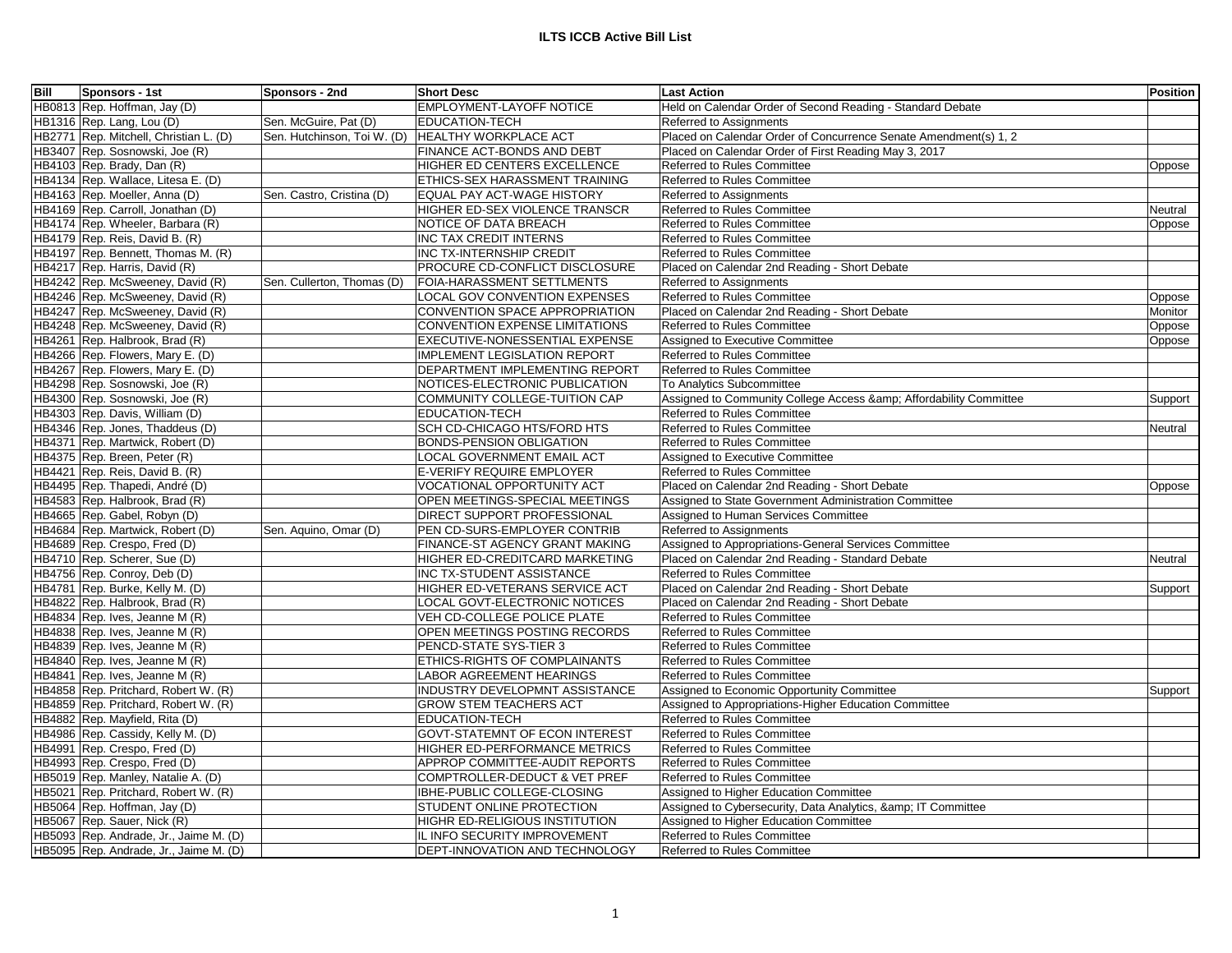| Bill<br>Sponsors - 1st                 | Sponsors - 2nd              | <b>Short Desc</b>                     | <b>Last Action</b>                                                  | <b>Position</b> |
|----------------------------------------|-----------------------------|---------------------------------------|---------------------------------------------------------------------|-----------------|
| HB0813 Rep. Hoffman, Jay (D)           |                             | <b>EMPLOYMENT-LAYOFF NOTICE</b>       | Held on Calendar Order of Second Reading - Standard Debate          |                 |
| HB1316 Rep. Lang, Lou (D)              | Sen. McGuire, Pat (D)       | <b>EDUCATION-TECH</b>                 | Referred to Assignments                                             |                 |
| HB2771 Rep. Mitchell, Christian L. (D) | Sen. Hutchinson, Toi W. (D) | <b>HEALTHY WORKPLACE ACT</b>          | Placed on Calendar Order of Concurrence Senate Amendment(s) 1, 2    |                 |
| HB3407 Rep. Sosnowski, Joe (R)         |                             | <b>FINANCE ACT-BONDS AND DEBT</b>     | Placed on Calendar Order of First Reading May 3, 2017               |                 |
| HB4103 Rep. Brady, Dan (R)             |                             | HIGHER ED CENTERS EXCELLENCE          | <b>Referred to Rules Committee</b>                                  | Oppose          |
| HB4134 Rep. Wallace, Litesa E. (D)     |                             | <b>ETHICS-SEX HARASSMENT TRAINING</b> | <b>Referred to Rules Committee</b>                                  |                 |
| HB4163 Rep. Moeller, Anna (D)          | Sen. Castro, Cristina (D)   | EQUAL PAY ACT-WAGE HISTORY            | Referred to Assignments                                             |                 |
| HB4169 Rep. Carroll, Jonathan (D)      |                             | HIGHER ED-SEX VIOLENCE TRANSCR        | Referred to Rules Committee                                         | Neutral         |
| HB4174 Rep. Wheeler, Barbara (R)       |                             | NOTICE OF DATA BREACH                 | Referred to Rules Committee                                         | Oppose          |
| HB4179 Rep. Reis, David B. (R)         |                             | INC TAX CREDIT INTERNS                | <b>Referred to Rules Committee</b>                                  |                 |
| HB4197 Rep. Bennett, Thomas M. (R)     |                             | INC TX-INTERNSHIP CREDIT              | <b>Referred to Rules Committee</b>                                  |                 |
| HB4217 Rep. Harris, David (R)          |                             | PROCURE CD-CONFLICT DISCLOSURE        | Placed on Calendar 2nd Reading - Short Debate                       |                 |
| HB4242 Rep. McSweeney, David (R)       | Sen. Cullerton, Thomas (D)  | <b>FOIA-HARASSMENT SETTLMENTS</b>     | Referred to Assignments                                             |                 |
| HB4246 Rep. McSweeney, David (R)       |                             | LOCAL GOV CONVENTION EXPENSES         | Referred to Rules Committee                                         | Oppose          |
| HB4247 Rep. McSweeney, David (R)       |                             | CONVENTION SPACE APPROPRIATION        | Placed on Calendar 2nd Reading - Short Debate                       | Monitor         |
| HB4248 Rep. McSweeney, David (R)       |                             | CONVENTION EXPENSE LIMITATIONS        | Referred to Rules Committee                                         | Oppose          |
| HB4261 Rep. Halbrook, Brad (R)         |                             | <b>EXECUTIVE-NONESSENTIAL EXPENSE</b> | <b>Assigned to Executive Committee</b>                              | Oppose          |
| HB4266 Rep. Flowers, Mary E. (D)       |                             | <b>IMPLEMENT LEGISLATION REPORT</b>   | <b>Referred to Rules Committee</b>                                  |                 |
| HB4267 Rep. Flowers, Mary E. (D)       |                             | <b>DEPARTMENT IMPLEMENTING REPORT</b> | <b>Referred to Rules Committee</b>                                  |                 |
| HB4298 Rep. Sosnowski, Joe (R)         |                             | NOTICES-ELECTRONIC PUBLICATION        | To Analytics Subcommittee                                           |                 |
| HB4300 Rep. Sosnowski, Joe (R)         |                             | COMMUNITY COLLEGE-TUITION CAP         | Assigned to Community College Access & amp; Affordability Committee | Support         |
| HB4303 Rep. Davis, William (D)         |                             | <b>EDUCATION-TECH</b>                 | Referred to Rules Committee                                         |                 |
| HB4346 Rep. Jones, Thaddeus (D)        |                             | <b>SCH CD-CHICAGO HTS/FORD HTS</b>    | <b>Referred to Rules Committee</b>                                  | Neutral         |
| HB4371 Rep. Martwick, Robert (D)       |                             | BONDS-PENSION OBLIGATION              | <b>Referred to Rules Committee</b>                                  |                 |
| HB4375 Rep. Breen, Peter (R)           |                             | LOCAL GOVERNMENT EMAIL ACT            | Assigned to Executive Committee                                     |                 |
| HB4421 Rep. Reis, David B. (R)         |                             | <b>E-VERIFY REQUIRE EMPLOYER</b>      | Referred to Rules Committee                                         |                 |
| HB4495 Rep. Thapedi, André (D)         |                             | VOCATIONAL OPPORTUNITY ACT            | Placed on Calendar 2nd Reading - Short Debate                       | Oppose          |
| HB4583 Rep. Halbrook, Brad (R)         |                             | OPEN MEETINGS-SPECIAL MEETINGS        | Assigned to State Government Administration Committee               |                 |
| HB4665 Rep. Gabel, Robyn (D)           |                             | <b>DIRECT SUPPORT PROFESSIONAL</b>    | Assigned to Human Services Committee                                |                 |
| HB4684 Rep. Martwick, Robert (D)       | Sen. Aquino, Omar (D)       | PEN CD-SURS-EMPLOYER CONTRIB          | Referred to Assignments                                             |                 |
| HB4689 Rep. Crespo, Fred (D)           |                             | FINANCE-ST AGENCY GRANT MAKING        | Assigned to Appropriations-General Services Committee               |                 |
| HB4710 Rep. Scherer, Sue (D)           |                             | HIGHER ED-CREDITCARD MARKETING        | Placed on Calendar 2nd Reading - Standard Debate                    | Neutral         |
| HB4756 Rep. Conroy, Deb (D)            |                             | INC TX-STUDENT ASSISTANCE             | <b>Referred to Rules Committee</b>                                  |                 |
| HB4781 Rep. Burke, Kelly M. (D)        |                             | HIGHER ED-VETERANS SERVICE ACT        | Placed on Calendar 2nd Reading - Short Debate                       | Support         |
| HB4822 Rep. Halbrook, Brad (R)         |                             | LOCAL GOVT-ELECTRONIC NOTICES         | Placed on Calendar 2nd Reading - Short Debate                       |                 |
| HB4834 Rep. Ives, Jeanne M (R)         |                             | VEH CD-COLLEGE POLICE PLATE           | <b>Referred to Rules Committee</b>                                  |                 |
| HB4838 Rep. Ives, Jeanne M (R)         |                             | OPEN MEETINGS POSTING RECORDS         | Referred to Rules Committee                                         |                 |
| HB4839 Rep. Ives, Jeanne M (R)         |                             | PENCD-STATE SYS-TIER 3                | <b>Referred to Rules Committee</b>                                  |                 |
| HB4840 Rep. Ives, Jeanne M (R)         |                             | <b>ETHICS-RIGHTS OF COMPLAINANTS</b>  | Referred to Rules Committee                                         |                 |
| HB4841 Rep. Ives, Jeanne M (R)         |                             | LABOR AGREEMENT HEARINGS              | Referred to Rules Committee                                         |                 |
| HB4858 Rep. Pritchard, Robert W. (R)   |                             | INDUSTRY DEVELOPMNT ASSISTANCE        | Assigned to Economic Opportunity Committee                          | Support         |
| HB4859 Rep. Pritchard, Robert W. (R)   |                             | <b>GROW STEM TEACHERS ACT</b>         | Assigned to Appropriations-Higher Education Committee               |                 |
| HB4882 Rep. Mayfield, Rita (D)         |                             | <b>EDUCATION-TECH</b>                 | Referred to Rules Committee                                         |                 |
| HB4986 Rep. Cassidy, Kelly M. (D)      |                             | GOVT-STATEMNT OF ECON INTEREST        | Referred to Rules Committee                                         |                 |
| HB4991 Rep. Crespo, Fred (D)           |                             | HIGHER ED-PERFORMANCE METRICS         | <b>Referred to Rules Committee</b>                                  |                 |
| HB4993 Rep. Crespo, Fred (D)           |                             | APPROP COMMITTEE-AUDIT REPORTS        | <b>Referred to Rules Committee</b>                                  |                 |
| HB5019 Rep. Manley, Natalie A. (D)     |                             | COMPTROLLER-DEDUCT & VET PREF         | Referred to Rules Committee                                         |                 |
| HB5021 Rep. Pritchard, Robert W. (R)   |                             | IBHE-PUBLIC COLLEGE-CLOSING           | Assigned to Higher Education Committee                              |                 |
| HB5064 Rep. Hoffman, Jay (D)           |                             | STUDENT ONLINE PROTECTION             | Assigned to Cybersecurity, Data Analytics, & IT Committee           |                 |
| HB5067 Rep. Sauer, Nick (R)            |                             | HIGHR ED-RELIGIOUS INSTITUTION        | Assigned to Higher Education Committee                              |                 |
| HB5093 Rep. Andrade, Jr., Jaime M. (D) |                             | IL INFO SECURITY IMPROVEMENT          | Referred to Rules Committee                                         |                 |
| HB5095 Rep. Andrade, Jr., Jaime M. (D) |                             | <b>DEPT-INNOVATION AND TECHNOLOGY</b> | Referred to Rules Committee                                         |                 |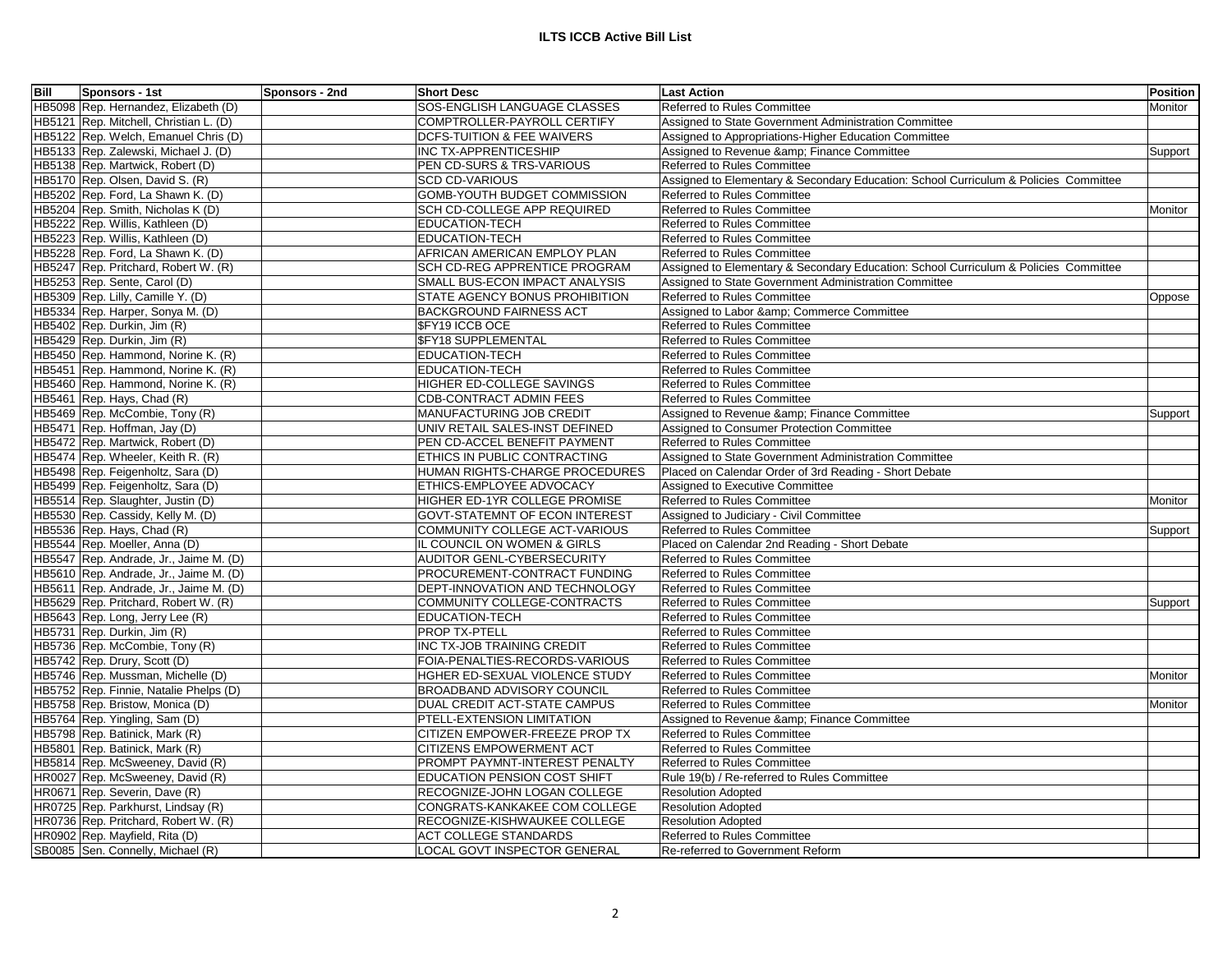| Bill | Sponsors - 1st                         | Sponsors - 2nd | <b>Short Desc</b>                     | <b>Last Action</b>                                                                   | <b>Position</b> |
|------|----------------------------------------|----------------|---------------------------------------|--------------------------------------------------------------------------------------|-----------------|
|      | HB5098 Rep. Hernandez, Elizabeth (D)   |                | SOS-ENGLISH LANGUAGE CLASSES          | <b>Referred to Rules Committee</b>                                                   | Monitor         |
|      | HB5121 Rep. Mitchell, Christian L. (D) |                | COMPTROLLER-PAYROLL CERTIFY           | Assigned to State Government Administration Committee                                |                 |
|      | HB5122 Rep. Welch, Emanuel Chris (D)   |                | <b>DCFS-TUITION &amp; FEE WAIVERS</b> | Assigned to Appropriations-Higher Education Committee                                |                 |
|      | HB5133 Rep. Zalewski, Michael J. (D)   |                | INC TX-APPRENTICESHIP                 | Assigned to Revenue & Finance Committee                                              | Support         |
|      | HB5138 Rep. Martwick, Robert (D)       |                | PEN CD-SURS & TRS-VARIOUS             | Referred to Rules Committee                                                          |                 |
|      | HB5170 Rep. Olsen, David S. (R)        |                | <b>SCD CD-VARIOUS</b>                 | Assigned to Elementary & Secondary Education: School Curriculum & Policies Committee |                 |
|      | HB5202 Rep. Ford, La Shawn K. (D)      |                | GOMB-YOUTH BUDGET COMMISSION          | Referred to Rules Committee                                                          |                 |
|      | HB5204 Rep. Smith, Nicholas K (D)      |                | SCH CD-COLLEGE APP REQUIRED           | <b>Referred to Rules Committee</b>                                                   | Monitor         |
|      | HB5222 Rep. Willis, Kathleen (D)       |                | EDUCATION-TECH                        | Referred to Rules Committee                                                          |                 |
|      | HB5223 Rep. Willis, Kathleen (D)       |                | <b>EDUCATION-TECH</b>                 | <b>Referred to Rules Committee</b>                                                   |                 |
|      | HB5228 Rep. Ford, La Shawn K. (D)      |                | AFRICAN AMERICAN EMPLOY PLAN          | <b>Referred to Rules Committee</b>                                                   |                 |
|      | HB5247 Rep. Pritchard, Robert W. (R)   |                | SCH CD-REG APPRENTICE PROGRAM         | Assigned to Elementary & Secondary Education: School Curriculum & Policies Committee |                 |
|      | HB5253 Rep. Sente, Carol (D)           |                | SMALL BUS-ECON IMPACT ANALYSIS        | Assigned to State Government Administration Committee                                |                 |
|      | HB5309 Rep. Lilly, Camille Y. (D)      |                | STATE AGENCY BONUS PROHIBITION        | <b>Referred to Rules Committee</b>                                                   | Oppose          |
|      | HB5334 Rep. Harper, Sonya M. (D)       |                | <b>BACKGROUND FAIRNESS ACT</b>        | Assigned to Labor & Commerce Committee                                               |                 |
|      | HB5402 Rep. Durkin, Jim (R)            |                | <b>\$FY19 ICCB OCE</b>                | Referred to Rules Committee                                                          |                 |
|      | HB5429 Rep. Durkin, Jim (R)            |                | <b>SFY18 SUPPLEMENTAL</b>             | <b>Referred to Rules Committee</b>                                                   |                 |
|      | HB5450 Rep. Hammond, Norine K. (R)     |                | EDUCATION-TECH                        | Referred to Rules Committee                                                          |                 |
|      | HB5451 Rep. Hammond, Norine K. (R)     |                | <b>EDUCATION-TECH</b>                 | Referred to Rules Committee                                                          |                 |
|      | HB5460 Rep. Hammond, Norine K. (R)     |                | HIGHER ED-COLLEGE SAVINGS             | Referred to Rules Committee                                                          |                 |
|      | HB5461 Rep. Hays, Chad (R)             |                | <b>CDB-CONTRACT ADMIN FEES</b>        | <b>Referred to Rules Committee</b>                                                   |                 |
|      | HB5469 Rep. McCombie, Tony (R)         |                | MANUFACTURING JOB CREDIT              | Assigned to Revenue & Finance Committee                                              | Support         |
|      | HB5471 Rep. Hoffman, Jay (D)           |                | UNIV RETAIL SALES-INST DEFINED        | Assigned to Consumer Protection Committee                                            |                 |
|      | HB5472 Rep. Martwick, Robert (D)       |                | PEN CD-ACCEL BENEFIT PAYMENT          | Referred to Rules Committee                                                          |                 |
|      | HB5474 Rep. Wheeler, Keith R. (R)      |                | ETHICS IN PUBLIC CONTRACTING          | Assigned to State Government Administration Committee                                |                 |
|      | HB5498 Rep. Feigenholtz, Sara (D)      |                | HUMAN RIGHTS-CHARGE PROCEDURES        | Placed on Calendar Order of 3rd Reading - Short Debate                               |                 |
|      | HB5499 Rep. Feigenholtz, Sara (D)      |                | ETHICS-EMPLOYEE ADVOCACY              | Assigned to Executive Committee                                                      |                 |
|      | HB5514 Rep. Slaughter, Justin (D)      |                | HIGHER ED-1YR COLLEGE PROMISE         | Referred to Rules Committee                                                          | Monitor         |
|      | HB5530 Rep. Cassidy, Kelly M. (D)      |                | <b>GOVT-STATEMNT OF ECON INTEREST</b> | Assigned to Judiciary - Civil Committee                                              |                 |
|      | HB5536 Rep. Hays, Chad (R)             |                | COMMUNITY COLLEGE ACT-VARIOUS         | Referred to Rules Committee                                                          | Support         |
|      | HB5544 Rep. Moeller, Anna (D)          |                | IL COUNCIL ON WOMEN & GIRLS           | Placed on Calendar 2nd Reading - Short Debate                                        |                 |
|      | HB5547 Rep. Andrade, Jr., Jaime M. (D) |                | AUDITOR GENL-CYBERSECURITY            | Referred to Rules Committee                                                          |                 |
|      | HB5610 Rep. Andrade, Jr., Jaime M. (D) |                | PROCUREMENT-CONTRACT FUNDING          | <b>Referred to Rules Committee</b>                                                   |                 |
|      | HB5611 Rep. Andrade, Jr., Jaime M. (D) |                | DEPT-INNOVATION AND TECHNOLOGY        | <b>Referred to Rules Committee</b>                                                   |                 |
|      | HB5629 Rep. Pritchard, Robert W. (R)   |                | COMMUNITY COLLEGE-CONTRACTS           | Referred to Rules Committee                                                          | Support         |
|      | HB5643 Rep. Long, Jerry Lee (R)        |                | <b>EDUCATION-TECH</b>                 | <b>Referred to Rules Committee</b>                                                   |                 |
|      | HB5731 Rep. Durkin, Jim (R)            |                | PROP TX-PTELL                         | Referred to Rules Committee                                                          |                 |
|      | HB5736 Rep. McCombie, Tony (R)         |                | INC TX-JOB TRAINING CREDIT            | <b>Referred to Rules Committee</b>                                                   |                 |
|      | HB5742 Rep. Drury, Scott (D)           |                | FOIA-PENALTIES-RECORDS-VARIOUS        | <b>Referred to Rules Committee</b>                                                   |                 |
|      | HB5746 Rep. Mussman, Michelle (D)      |                | HGHER ED-SEXUAL VIOLENCE STUDY        | <b>Referred to Rules Committee</b>                                                   | Monitor         |
|      | HB5752 Rep. Finnie, Natalie Phelps (D) |                | <b>BROADBAND ADVISORY COUNCIL</b>     | <b>Referred to Rules Committee</b>                                                   |                 |
|      | HB5758 Rep. Bristow, Monica (D)        |                | DUAL CREDIT ACT-STATE CAMPUS          | Referred to Rules Committee                                                          | Monitor         |
|      | HB5764 Rep. Yingling, Sam (D)          |                | PTELL-EXTENSION LIMITATION            | Assigned to Revenue & Finance Committee                                              |                 |
|      | HB5798 Rep. Batinick, Mark (R)         |                | CITIZEN EMPOWER-FREEZE PROP TX        | Referred to Rules Committee                                                          |                 |
|      | HB5801 Rep. Batinick, Mark (R)         |                | <b>CITIZENS EMPOWERMENT ACT</b>       | <b>Referred to Rules Committee</b>                                                   |                 |
|      | HB5814 Rep. McSweeney, David (R)       |                | PROMPT PAYMNT-INTEREST PENALTY        | <b>Referred to Rules Committee</b>                                                   |                 |
|      | HR0027 Rep. McSweeney, David (R)       |                | EDUCATION PENSION COST SHIFT          | Rule 19(b) / Re-referred to Rules Committee                                          |                 |
|      | HR0671 Rep. Severin, Dave (R)          |                | RECOGNIZE-JOHN LOGAN COLLEGE          | <b>Resolution Adopted</b>                                                            |                 |
|      | HR0725 Rep. Parkhurst, Lindsay (R)     |                | CONGRATS-KANKAKEE COM COLLEGE         | <b>Resolution Adopted</b>                                                            |                 |
|      | HR0736 Rep. Pritchard, Robert W. (R)   |                | RECOGNIZE-KISHWAUKEE COLLEGE          | <b>Resolution Adopted</b>                                                            |                 |
|      | HR0902 Rep. Mayfield, Rita (D)         |                | <b>ACT COLLEGE STANDARDS</b>          | Referred to Rules Committee                                                          |                 |
|      | SB0085 Sen. Connelly, Michael (R)      |                | LOCAL GOVT INSPECTOR GENERAL          | Re-referred to Government Reform                                                     |                 |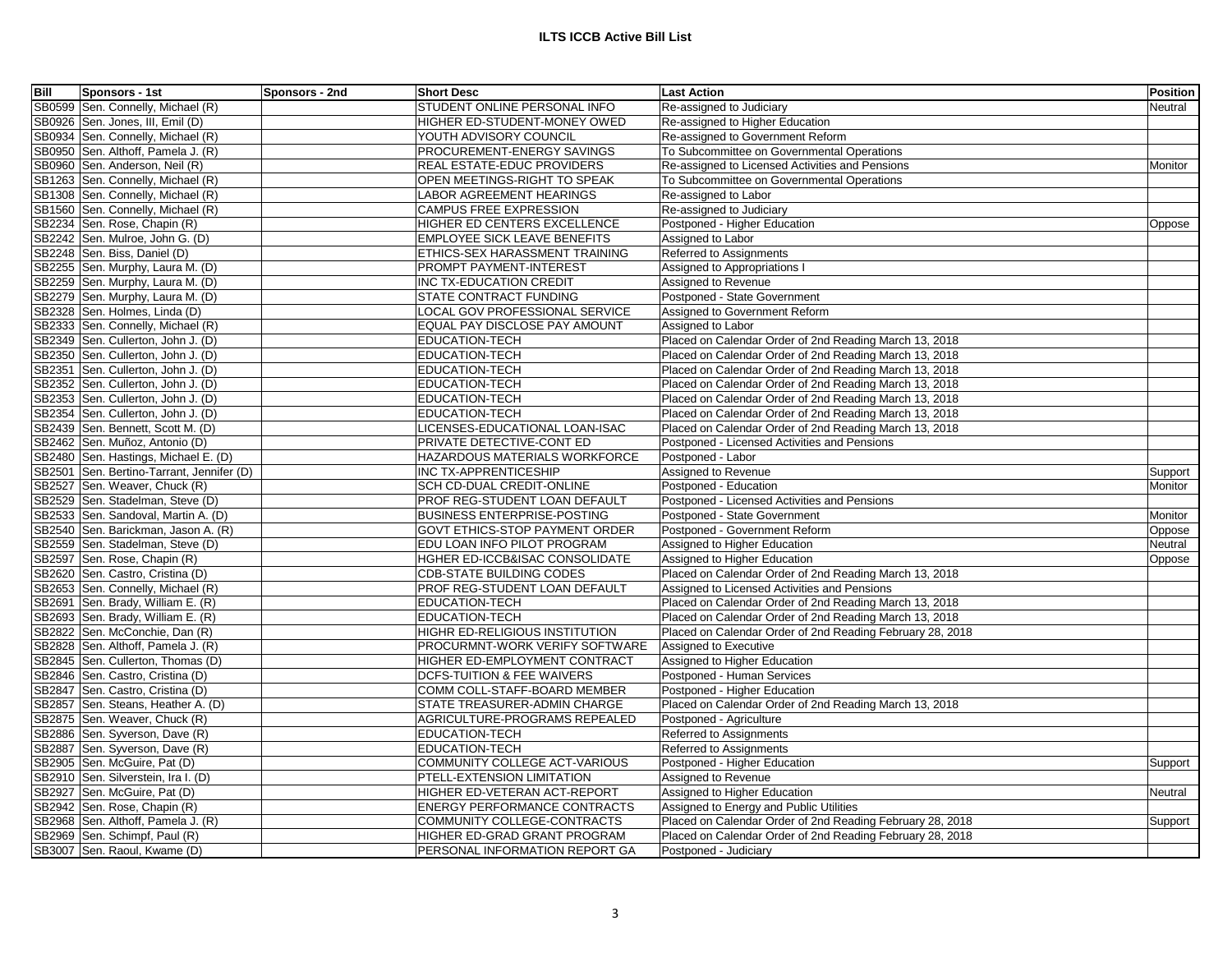| SB0599 Sen. Connelly, Michael (R)<br>STUDENT ONLINE PERSONAL INFO<br>Re-assigned to Judiciary<br>Neutral<br>SB0926 Sen. Jones, III, Emil (D)<br>HIGHER ED-STUDENT-MONEY OWED<br>Re-assigned to Higher Education<br>SB0934 Sen. Connelly, Michael (R)<br>YOUTH ADVISORY COUNCIL<br>Re-assigned to Government Reform<br>SB0950 Sen. Althoff, Pamela J. (R)<br>PROCUREMENT-ENERGY SAVINGS<br>To Subcommittee on Governmental Operations<br>SB0960 Sen. Anderson, Neil (R)<br>REAL ESTATE-EDUC PROVIDERS<br>Re-assigned to Licensed Activities and Pensions<br>Monitor<br>SB1263 Sen. Connelly, Michael (R)<br>OPEN MEETINGS-RIGHT TO SPEAK<br>To Subcommittee on Governmental Operations<br>SB1308 Sen. Connelly, Michael (R)<br>Re-assigned to Labor<br>LABOR AGREEMENT HEARINGS<br>SB1560 Sen. Connelly, Michael (R)<br>CAMPUS FREE EXPRESSION<br>Re-assigned to Judiciary<br>SB2234 Sen. Rose, Chapin (R)<br>Postponed - Higher Education<br>HIGHER ED CENTERS EXCELLENCE<br>Oppose<br>SB2242 Sen. Mulroe, John G. (D)<br><b>EMPLOYEE SICK LEAVE BENEFITS</b><br>Assigned to Labor<br>SB2248 Sen. Biss, Daniel (D)<br>ETHICS-SEX HARASSMENT TRAINING<br>Referred to Assignments<br>SB2255 Sen. Murphy, Laura M. (D)<br>Assigned to Appropriations I<br>PROMPT PAYMENT-INTEREST<br>SB2259 Sen. Murphy, Laura M. (D)<br>INC TX-EDUCATION CREDIT<br>Assigned to Revenue<br>SB2279 Sen. Murphy, Laura M. (D)<br>STATE CONTRACT FUNDING<br>Postponed - State Government<br>SB2328 Sen. Holmes, Linda (D)<br>LOCAL GOV PROFESSIONAL SERVICE<br>Assigned to Government Reform<br>SB2333 Sen. Connelly, Michael (R)<br>EQUAL PAY DISCLOSE PAY AMOUNT<br>Assigned to Labor<br>SB2349 Sen. Cullerton, John J. (D)<br><b>EDUCATION-TECH</b><br>Placed on Calendar Order of 2nd Reading March 13, 2018<br>SB2350 Sen. Cullerton, John J. (D)<br>EDUCATION-TECH<br>Placed on Calendar Order of 2nd Reading March 13, 2018<br>SB2351 Sen. Cullerton, John J. (D)<br>EDUCATION-TECH<br>Placed on Calendar Order of 2nd Reading March 13, 2018<br>SB2352 Sen. Cullerton, John J. (D)<br><b>EDUCATION-TECH</b><br>Placed on Calendar Order of 2nd Reading March 13, 2018<br>SB2353 Sen. Cullerton, John J. (D)<br><b>EDUCATION-TECH</b><br>Placed on Calendar Order of 2nd Reading March 13, 2018<br>SB2354 Sen. Cullerton, John J. (D)<br><b>EDUCATION-TECH</b><br>Placed on Calendar Order of 2nd Reading March 13, 2018<br>SB2439 Sen. Bennett, Scott M. (D)<br>LICENSES-EDUCATIONAL LOAN-ISAC<br>Placed on Calendar Order of 2nd Reading March 13, 2018<br>SB2462 Sen. Muñoz, Antonio (D)<br>PRIVATE DETECTIVE-CONT ED<br>Postponed - Licensed Activities and Pensions<br>SB2480 Sen. Hastings, Michael E. (D)<br>HAZARDOUS MATERIALS WORKFORCE<br>Postponed - Labor<br>SB2501 Sen. Bertino-Tarrant, Jennifer (D)<br>INC TX-APPRENTICESHIP<br>Assigned to Revenue<br>Support<br>SB2527 Sen. Weaver, Chuck (R)<br><b>SCH CD-DUAL CREDIT-ONLINE</b><br>Postponed - Education<br>Monitor<br>SB2529 Sen. Stadelman, Steve (D)<br>Postponed - Licensed Activities and Pensions<br>PROF REG-STUDENT LOAN DEFAULT<br>SB2533 Sen. Sandoval, Martin A. (D)<br><b>BUSINESS ENTERPRISE-POSTING</b><br>Postponed - State Government<br>Monitor<br>SB2540 Sen. Barickman, Jason A. (R)<br>GOVT ETHICS-STOP PAYMENT ORDER<br>Postponed - Government Reform<br>Oppose<br>SB2559 Sen. Stadelman, Steve (D)<br>Assigned to Higher Education<br>EDU LOAN INFO PILOT PROGRAM<br>Neutral<br>SB2597 Sen. Rose, Chapin (R)<br>HGHER ED-ICCB&ISAC CONSOLIDATE<br>Assigned to Higher Education<br>Oppose<br>SB2620 Sen. Castro, Cristina (D)<br><b>CDB-STATE BUILDING CODES</b><br>Placed on Calendar Order of 2nd Reading March 13, 2018<br>SB2653 Sen. Connelly, Michael (R)<br>PROF REG-STUDENT LOAN DEFAULT<br>Assigned to Licensed Activities and Pensions<br>SB2691 Sen. Brady, William E. (R)<br>EDUCATION-TECH<br>Placed on Calendar Order of 2nd Reading March 13, 2018<br>SB2693 Sen. Brady, William E. (R)<br>EDUCATION-TECH<br>Placed on Calendar Order of 2nd Reading March 13, 2018<br>SB2822 Sen. McConchie, Dan (R)<br>HIGHR ED-RELIGIOUS INSTITUTION<br>Placed on Calendar Order of 2nd Reading February 28, 2018<br>SB2828 Sen. Althoff, Pamela J. (R)<br>PROCURMNT-WORK VERIFY SOFTWARE<br>Assigned to Executive<br>SB2845 Sen. Cullerton, Thomas (D)<br>HIGHER ED-EMPLOYMENT CONTRACT<br>Assigned to Higher Education<br>SB2846 Sen. Castro, Cristina (D)<br><b>DCFS-TUITION &amp; FEE WAIVERS</b><br>Postponed - Human Services<br>SB2847 Sen. Castro, Cristina (D)<br>COMM COLL-STAFF-BOARD MEMBER<br>Postponed - Higher Education<br>SB2857 Sen. Steans, Heather A. (D)<br>STATE TREASURER-ADMIN CHARGE<br>Placed on Calendar Order of 2nd Reading March 13, 2018<br>SB2875 Sen. Weaver, Chuck (R)<br>AGRICULTURE-PROGRAMS REPEALED<br>Postponed - Agriculture<br>SB2886 Sen. Syverson, Dave (R)<br>EDUCATION-TECH<br>Referred to Assignments<br>SB2887 Sen. Syverson, Dave (R)<br>Referred to Assignments<br>EDUCATION-TECH<br>SB2905 Sen. McGuire, Pat (D)<br>COMMUNITY COLLEGE ACT-VARIOUS<br>Postponed - Higher Education<br>Support<br>SB2910 Sen. Silverstein, Ira I. (D)<br>PTELL-EXTENSION LIMITATION<br>Assigned to Revenue<br>SB2927 Sen. McGuire, Pat (D)<br>HIGHER ED-VETERAN ACT-REPORT<br>Assigned to Higher Education<br>Neutral<br>SB2942 Sen. Rose, Chapin (R)<br><b>ENERGY PERFORMANCE CONTRACTS</b><br>Assigned to Energy and Public Utilities<br>SB2968 Sen. Althoff, Pamela J. (R)<br>COMMUNITY COLLEGE-CONTRACTS<br>Placed on Calendar Order of 2nd Reading February 28, 2018<br>Support<br>SB2969 Sen. Schimpf, Paul (R)<br>HIGHER ED-GRAD GRANT PROGRAM<br>Placed on Calendar Order of 2nd Reading February 28, 2018<br>SB3007 Sen. Raoul, Kwame (D)<br>PERSONAL INFORMATION REPORT GA<br>Postponed - Judiciary | <b>Bill</b> | Sponsors - 1st | Sponsors - 2nd | <b>Short Desc</b> | <b>Last Action</b> | <b>Position</b> |
|---------------------------------------------------------------------------------------------------------------------------------------------------------------------------------------------------------------------------------------------------------------------------------------------------------------------------------------------------------------------------------------------------------------------------------------------------------------------------------------------------------------------------------------------------------------------------------------------------------------------------------------------------------------------------------------------------------------------------------------------------------------------------------------------------------------------------------------------------------------------------------------------------------------------------------------------------------------------------------------------------------------------------------------------------------------------------------------------------------------------------------------------------------------------------------------------------------------------------------------------------------------------------------------------------------------------------------------------------------------------------------------------------------------------------------------------------------------------------------------------------------------------------------------------------------------------------------------------------------------------------------------------------------------------------------------------------------------------------------------------------------------------------------------------------------------------------------------------------------------------------------------------------------------------------------------------------------------------------------------------------------------------------------------------------------------------------------------------------------------------------------------------------------------------------------------------------------------------------------------------------------------------------------------------------------------------------------------------------------------------------------------------------------------------------------------------------------------------------------------------------------------------------------------------------------------------------------------------------------------------------------------------------------------------------------------------------------------------------------------------------------------------------------------------------------------------------------------------------------------------------------------------------------------------------------------------------------------------------------------------------------------------------------------------------------------------------------------------------------------------------------------------------------------------------------------------------------------------------------------------------------------------------------------------------------------------------------------------------------------------------------------------------------------------------------------------------------------------------------------------------------------------------------------------------------------------------------------------------------------------------------------------------------------------------------------------------------------------------------------------------------------------------------------------------------------------------------------------------------------------------------------------------------------------------------------------------------------------------------------------------------------------------------------------------------------------------------------------------------------------------------------------------------------------------------------------------------------------------------------------------------------------------------------------------------------------------------------------------------------------------------------------------------------------------------------------------------------------------------------------------------------------------------------------------------------------------------------------------------------------------------------------------------------------------------------------------------------------------------------------------------------------------------------------------------------------------------------------------------------------------------------------------------------------------------------------------------------------------------------------------------------------------------------------------------------------------------------------------------------------------------------------------------------------------------------------------------------------------------------------------------------------------------------------------------------------------------------------------------------------------------------------------------------------------------------------------------------------------------------------------------------------------------------------------------------------------------------------------------------------------------------------------------------------------------------------------------------------------------------------------------------------------------------------------------------------------|-------------|----------------|----------------|-------------------|--------------------|-----------------|
|                                                                                                                                                                                                                                                                                                                                                                                                                                                                                                                                                                                                                                                                                                                                                                                                                                                                                                                                                                                                                                                                                                                                                                                                                                                                                                                                                                                                                                                                                                                                                                                                                                                                                                                                                                                                                                                                                                                                                                                                                                                                                                                                                                                                                                                                                                                                                                                                                                                                                                                                                                                                                                                                                                                                                                                                                                                                                                                                                                                                                                                                                                                                                                                                                                                                                                                                                                                                                                                                                                                                                                                                                                                                                                                                                                                                                                                                                                                                                                                                                                                                                                                                                                                                                                                                                                                                                                                                                                                                                                                                                                                                                                                                                                                                                                                                                                                                                                                                                                                                                                                                                                                                                                                                                                                                                                                                                                                                                                                                                                                                                                                                                                                                                                                                                                                                                           |             |                |                |                   |                    |                 |
|                                                                                                                                                                                                                                                                                                                                                                                                                                                                                                                                                                                                                                                                                                                                                                                                                                                                                                                                                                                                                                                                                                                                                                                                                                                                                                                                                                                                                                                                                                                                                                                                                                                                                                                                                                                                                                                                                                                                                                                                                                                                                                                                                                                                                                                                                                                                                                                                                                                                                                                                                                                                                                                                                                                                                                                                                                                                                                                                                                                                                                                                                                                                                                                                                                                                                                                                                                                                                                                                                                                                                                                                                                                                                                                                                                                                                                                                                                                                                                                                                                                                                                                                                                                                                                                                                                                                                                                                                                                                                                                                                                                                                                                                                                                                                                                                                                                                                                                                                                                                                                                                                                                                                                                                                                                                                                                                                                                                                                                                                                                                                                                                                                                                                                                                                                                                                           |             |                |                |                   |                    |                 |
|                                                                                                                                                                                                                                                                                                                                                                                                                                                                                                                                                                                                                                                                                                                                                                                                                                                                                                                                                                                                                                                                                                                                                                                                                                                                                                                                                                                                                                                                                                                                                                                                                                                                                                                                                                                                                                                                                                                                                                                                                                                                                                                                                                                                                                                                                                                                                                                                                                                                                                                                                                                                                                                                                                                                                                                                                                                                                                                                                                                                                                                                                                                                                                                                                                                                                                                                                                                                                                                                                                                                                                                                                                                                                                                                                                                                                                                                                                                                                                                                                                                                                                                                                                                                                                                                                                                                                                                                                                                                                                                                                                                                                                                                                                                                                                                                                                                                                                                                                                                                                                                                                                                                                                                                                                                                                                                                                                                                                                                                                                                                                                                                                                                                                                                                                                                                                           |             |                |                |                   |                    |                 |
|                                                                                                                                                                                                                                                                                                                                                                                                                                                                                                                                                                                                                                                                                                                                                                                                                                                                                                                                                                                                                                                                                                                                                                                                                                                                                                                                                                                                                                                                                                                                                                                                                                                                                                                                                                                                                                                                                                                                                                                                                                                                                                                                                                                                                                                                                                                                                                                                                                                                                                                                                                                                                                                                                                                                                                                                                                                                                                                                                                                                                                                                                                                                                                                                                                                                                                                                                                                                                                                                                                                                                                                                                                                                                                                                                                                                                                                                                                                                                                                                                                                                                                                                                                                                                                                                                                                                                                                                                                                                                                                                                                                                                                                                                                                                                                                                                                                                                                                                                                                                                                                                                                                                                                                                                                                                                                                                                                                                                                                                                                                                                                                                                                                                                                                                                                                                                           |             |                |                |                   |                    |                 |
|                                                                                                                                                                                                                                                                                                                                                                                                                                                                                                                                                                                                                                                                                                                                                                                                                                                                                                                                                                                                                                                                                                                                                                                                                                                                                                                                                                                                                                                                                                                                                                                                                                                                                                                                                                                                                                                                                                                                                                                                                                                                                                                                                                                                                                                                                                                                                                                                                                                                                                                                                                                                                                                                                                                                                                                                                                                                                                                                                                                                                                                                                                                                                                                                                                                                                                                                                                                                                                                                                                                                                                                                                                                                                                                                                                                                                                                                                                                                                                                                                                                                                                                                                                                                                                                                                                                                                                                                                                                                                                                                                                                                                                                                                                                                                                                                                                                                                                                                                                                                                                                                                                                                                                                                                                                                                                                                                                                                                                                                                                                                                                                                                                                                                                                                                                                                                           |             |                |                |                   |                    |                 |
|                                                                                                                                                                                                                                                                                                                                                                                                                                                                                                                                                                                                                                                                                                                                                                                                                                                                                                                                                                                                                                                                                                                                                                                                                                                                                                                                                                                                                                                                                                                                                                                                                                                                                                                                                                                                                                                                                                                                                                                                                                                                                                                                                                                                                                                                                                                                                                                                                                                                                                                                                                                                                                                                                                                                                                                                                                                                                                                                                                                                                                                                                                                                                                                                                                                                                                                                                                                                                                                                                                                                                                                                                                                                                                                                                                                                                                                                                                                                                                                                                                                                                                                                                                                                                                                                                                                                                                                                                                                                                                                                                                                                                                                                                                                                                                                                                                                                                                                                                                                                                                                                                                                                                                                                                                                                                                                                                                                                                                                                                                                                                                                                                                                                                                                                                                                                                           |             |                |                |                   |                    |                 |
|                                                                                                                                                                                                                                                                                                                                                                                                                                                                                                                                                                                                                                                                                                                                                                                                                                                                                                                                                                                                                                                                                                                                                                                                                                                                                                                                                                                                                                                                                                                                                                                                                                                                                                                                                                                                                                                                                                                                                                                                                                                                                                                                                                                                                                                                                                                                                                                                                                                                                                                                                                                                                                                                                                                                                                                                                                                                                                                                                                                                                                                                                                                                                                                                                                                                                                                                                                                                                                                                                                                                                                                                                                                                                                                                                                                                                                                                                                                                                                                                                                                                                                                                                                                                                                                                                                                                                                                                                                                                                                                                                                                                                                                                                                                                                                                                                                                                                                                                                                                                                                                                                                                                                                                                                                                                                                                                                                                                                                                                                                                                                                                                                                                                                                                                                                                                                           |             |                |                |                   |                    |                 |
|                                                                                                                                                                                                                                                                                                                                                                                                                                                                                                                                                                                                                                                                                                                                                                                                                                                                                                                                                                                                                                                                                                                                                                                                                                                                                                                                                                                                                                                                                                                                                                                                                                                                                                                                                                                                                                                                                                                                                                                                                                                                                                                                                                                                                                                                                                                                                                                                                                                                                                                                                                                                                                                                                                                                                                                                                                                                                                                                                                                                                                                                                                                                                                                                                                                                                                                                                                                                                                                                                                                                                                                                                                                                                                                                                                                                                                                                                                                                                                                                                                                                                                                                                                                                                                                                                                                                                                                                                                                                                                                                                                                                                                                                                                                                                                                                                                                                                                                                                                                                                                                                                                                                                                                                                                                                                                                                                                                                                                                                                                                                                                                                                                                                                                                                                                                                                           |             |                |                |                   |                    |                 |
|                                                                                                                                                                                                                                                                                                                                                                                                                                                                                                                                                                                                                                                                                                                                                                                                                                                                                                                                                                                                                                                                                                                                                                                                                                                                                                                                                                                                                                                                                                                                                                                                                                                                                                                                                                                                                                                                                                                                                                                                                                                                                                                                                                                                                                                                                                                                                                                                                                                                                                                                                                                                                                                                                                                                                                                                                                                                                                                                                                                                                                                                                                                                                                                                                                                                                                                                                                                                                                                                                                                                                                                                                                                                                                                                                                                                                                                                                                                                                                                                                                                                                                                                                                                                                                                                                                                                                                                                                                                                                                                                                                                                                                                                                                                                                                                                                                                                                                                                                                                                                                                                                                                                                                                                                                                                                                                                                                                                                                                                                                                                                                                                                                                                                                                                                                                                                           |             |                |                |                   |                    |                 |
|                                                                                                                                                                                                                                                                                                                                                                                                                                                                                                                                                                                                                                                                                                                                                                                                                                                                                                                                                                                                                                                                                                                                                                                                                                                                                                                                                                                                                                                                                                                                                                                                                                                                                                                                                                                                                                                                                                                                                                                                                                                                                                                                                                                                                                                                                                                                                                                                                                                                                                                                                                                                                                                                                                                                                                                                                                                                                                                                                                                                                                                                                                                                                                                                                                                                                                                                                                                                                                                                                                                                                                                                                                                                                                                                                                                                                                                                                                                                                                                                                                                                                                                                                                                                                                                                                                                                                                                                                                                                                                                                                                                                                                                                                                                                                                                                                                                                                                                                                                                                                                                                                                                                                                                                                                                                                                                                                                                                                                                                                                                                                                                                                                                                                                                                                                                                                           |             |                |                |                   |                    |                 |
|                                                                                                                                                                                                                                                                                                                                                                                                                                                                                                                                                                                                                                                                                                                                                                                                                                                                                                                                                                                                                                                                                                                                                                                                                                                                                                                                                                                                                                                                                                                                                                                                                                                                                                                                                                                                                                                                                                                                                                                                                                                                                                                                                                                                                                                                                                                                                                                                                                                                                                                                                                                                                                                                                                                                                                                                                                                                                                                                                                                                                                                                                                                                                                                                                                                                                                                                                                                                                                                                                                                                                                                                                                                                                                                                                                                                                                                                                                                                                                                                                                                                                                                                                                                                                                                                                                                                                                                                                                                                                                                                                                                                                                                                                                                                                                                                                                                                                                                                                                                                                                                                                                                                                                                                                                                                                                                                                                                                                                                                                                                                                                                                                                                                                                                                                                                                                           |             |                |                |                   |                    |                 |
|                                                                                                                                                                                                                                                                                                                                                                                                                                                                                                                                                                                                                                                                                                                                                                                                                                                                                                                                                                                                                                                                                                                                                                                                                                                                                                                                                                                                                                                                                                                                                                                                                                                                                                                                                                                                                                                                                                                                                                                                                                                                                                                                                                                                                                                                                                                                                                                                                                                                                                                                                                                                                                                                                                                                                                                                                                                                                                                                                                                                                                                                                                                                                                                                                                                                                                                                                                                                                                                                                                                                                                                                                                                                                                                                                                                                                                                                                                                                                                                                                                                                                                                                                                                                                                                                                                                                                                                                                                                                                                                                                                                                                                                                                                                                                                                                                                                                                                                                                                                                                                                                                                                                                                                                                                                                                                                                                                                                                                                                                                                                                                                                                                                                                                                                                                                                                           |             |                |                |                   |                    |                 |
|                                                                                                                                                                                                                                                                                                                                                                                                                                                                                                                                                                                                                                                                                                                                                                                                                                                                                                                                                                                                                                                                                                                                                                                                                                                                                                                                                                                                                                                                                                                                                                                                                                                                                                                                                                                                                                                                                                                                                                                                                                                                                                                                                                                                                                                                                                                                                                                                                                                                                                                                                                                                                                                                                                                                                                                                                                                                                                                                                                                                                                                                                                                                                                                                                                                                                                                                                                                                                                                                                                                                                                                                                                                                                                                                                                                                                                                                                                                                                                                                                                                                                                                                                                                                                                                                                                                                                                                                                                                                                                                                                                                                                                                                                                                                                                                                                                                                                                                                                                                                                                                                                                                                                                                                                                                                                                                                                                                                                                                                                                                                                                                                                                                                                                                                                                                                                           |             |                |                |                   |                    |                 |
|                                                                                                                                                                                                                                                                                                                                                                                                                                                                                                                                                                                                                                                                                                                                                                                                                                                                                                                                                                                                                                                                                                                                                                                                                                                                                                                                                                                                                                                                                                                                                                                                                                                                                                                                                                                                                                                                                                                                                                                                                                                                                                                                                                                                                                                                                                                                                                                                                                                                                                                                                                                                                                                                                                                                                                                                                                                                                                                                                                                                                                                                                                                                                                                                                                                                                                                                                                                                                                                                                                                                                                                                                                                                                                                                                                                                                                                                                                                                                                                                                                                                                                                                                                                                                                                                                                                                                                                                                                                                                                                                                                                                                                                                                                                                                                                                                                                                                                                                                                                                                                                                                                                                                                                                                                                                                                                                                                                                                                                                                                                                                                                                                                                                                                                                                                                                                           |             |                |                |                   |                    |                 |
|                                                                                                                                                                                                                                                                                                                                                                                                                                                                                                                                                                                                                                                                                                                                                                                                                                                                                                                                                                                                                                                                                                                                                                                                                                                                                                                                                                                                                                                                                                                                                                                                                                                                                                                                                                                                                                                                                                                                                                                                                                                                                                                                                                                                                                                                                                                                                                                                                                                                                                                                                                                                                                                                                                                                                                                                                                                                                                                                                                                                                                                                                                                                                                                                                                                                                                                                                                                                                                                                                                                                                                                                                                                                                                                                                                                                                                                                                                                                                                                                                                                                                                                                                                                                                                                                                                                                                                                                                                                                                                                                                                                                                                                                                                                                                                                                                                                                                                                                                                                                                                                                                                                                                                                                                                                                                                                                                                                                                                                                                                                                                                                                                                                                                                                                                                                                                           |             |                |                |                   |                    |                 |
|                                                                                                                                                                                                                                                                                                                                                                                                                                                                                                                                                                                                                                                                                                                                                                                                                                                                                                                                                                                                                                                                                                                                                                                                                                                                                                                                                                                                                                                                                                                                                                                                                                                                                                                                                                                                                                                                                                                                                                                                                                                                                                                                                                                                                                                                                                                                                                                                                                                                                                                                                                                                                                                                                                                                                                                                                                                                                                                                                                                                                                                                                                                                                                                                                                                                                                                                                                                                                                                                                                                                                                                                                                                                                                                                                                                                                                                                                                                                                                                                                                                                                                                                                                                                                                                                                                                                                                                                                                                                                                                                                                                                                                                                                                                                                                                                                                                                                                                                                                                                                                                                                                                                                                                                                                                                                                                                                                                                                                                                                                                                                                                                                                                                                                                                                                                                                           |             |                |                |                   |                    |                 |
|                                                                                                                                                                                                                                                                                                                                                                                                                                                                                                                                                                                                                                                                                                                                                                                                                                                                                                                                                                                                                                                                                                                                                                                                                                                                                                                                                                                                                                                                                                                                                                                                                                                                                                                                                                                                                                                                                                                                                                                                                                                                                                                                                                                                                                                                                                                                                                                                                                                                                                                                                                                                                                                                                                                                                                                                                                                                                                                                                                                                                                                                                                                                                                                                                                                                                                                                                                                                                                                                                                                                                                                                                                                                                                                                                                                                                                                                                                                                                                                                                                                                                                                                                                                                                                                                                                                                                                                                                                                                                                                                                                                                                                                                                                                                                                                                                                                                                                                                                                                                                                                                                                                                                                                                                                                                                                                                                                                                                                                                                                                                                                                                                                                                                                                                                                                                                           |             |                |                |                   |                    |                 |
|                                                                                                                                                                                                                                                                                                                                                                                                                                                                                                                                                                                                                                                                                                                                                                                                                                                                                                                                                                                                                                                                                                                                                                                                                                                                                                                                                                                                                                                                                                                                                                                                                                                                                                                                                                                                                                                                                                                                                                                                                                                                                                                                                                                                                                                                                                                                                                                                                                                                                                                                                                                                                                                                                                                                                                                                                                                                                                                                                                                                                                                                                                                                                                                                                                                                                                                                                                                                                                                                                                                                                                                                                                                                                                                                                                                                                                                                                                                                                                                                                                                                                                                                                                                                                                                                                                                                                                                                                                                                                                                                                                                                                                                                                                                                                                                                                                                                                                                                                                                                                                                                                                                                                                                                                                                                                                                                                                                                                                                                                                                                                                                                                                                                                                                                                                                                                           |             |                |                |                   |                    |                 |
|                                                                                                                                                                                                                                                                                                                                                                                                                                                                                                                                                                                                                                                                                                                                                                                                                                                                                                                                                                                                                                                                                                                                                                                                                                                                                                                                                                                                                                                                                                                                                                                                                                                                                                                                                                                                                                                                                                                                                                                                                                                                                                                                                                                                                                                                                                                                                                                                                                                                                                                                                                                                                                                                                                                                                                                                                                                                                                                                                                                                                                                                                                                                                                                                                                                                                                                                                                                                                                                                                                                                                                                                                                                                                                                                                                                                                                                                                                                                                                                                                                                                                                                                                                                                                                                                                                                                                                                                                                                                                                                                                                                                                                                                                                                                                                                                                                                                                                                                                                                                                                                                                                                                                                                                                                                                                                                                                                                                                                                                                                                                                                                                                                                                                                                                                                                                                           |             |                |                |                   |                    |                 |
|                                                                                                                                                                                                                                                                                                                                                                                                                                                                                                                                                                                                                                                                                                                                                                                                                                                                                                                                                                                                                                                                                                                                                                                                                                                                                                                                                                                                                                                                                                                                                                                                                                                                                                                                                                                                                                                                                                                                                                                                                                                                                                                                                                                                                                                                                                                                                                                                                                                                                                                                                                                                                                                                                                                                                                                                                                                                                                                                                                                                                                                                                                                                                                                                                                                                                                                                                                                                                                                                                                                                                                                                                                                                                                                                                                                                                                                                                                                                                                                                                                                                                                                                                                                                                                                                                                                                                                                                                                                                                                                                                                                                                                                                                                                                                                                                                                                                                                                                                                                                                                                                                                                                                                                                                                                                                                                                                                                                                                                                                                                                                                                                                                                                                                                                                                                                                           |             |                |                |                   |                    |                 |
|                                                                                                                                                                                                                                                                                                                                                                                                                                                                                                                                                                                                                                                                                                                                                                                                                                                                                                                                                                                                                                                                                                                                                                                                                                                                                                                                                                                                                                                                                                                                                                                                                                                                                                                                                                                                                                                                                                                                                                                                                                                                                                                                                                                                                                                                                                                                                                                                                                                                                                                                                                                                                                                                                                                                                                                                                                                                                                                                                                                                                                                                                                                                                                                                                                                                                                                                                                                                                                                                                                                                                                                                                                                                                                                                                                                                                                                                                                                                                                                                                                                                                                                                                                                                                                                                                                                                                                                                                                                                                                                                                                                                                                                                                                                                                                                                                                                                                                                                                                                                                                                                                                                                                                                                                                                                                                                                                                                                                                                                                                                                                                                                                                                                                                                                                                                                                           |             |                |                |                   |                    |                 |
|                                                                                                                                                                                                                                                                                                                                                                                                                                                                                                                                                                                                                                                                                                                                                                                                                                                                                                                                                                                                                                                                                                                                                                                                                                                                                                                                                                                                                                                                                                                                                                                                                                                                                                                                                                                                                                                                                                                                                                                                                                                                                                                                                                                                                                                                                                                                                                                                                                                                                                                                                                                                                                                                                                                                                                                                                                                                                                                                                                                                                                                                                                                                                                                                                                                                                                                                                                                                                                                                                                                                                                                                                                                                                                                                                                                                                                                                                                                                                                                                                                                                                                                                                                                                                                                                                                                                                                                                                                                                                                                                                                                                                                                                                                                                                                                                                                                                                                                                                                                                                                                                                                                                                                                                                                                                                                                                                                                                                                                                                                                                                                                                                                                                                                                                                                                                                           |             |                |                |                   |                    |                 |
|                                                                                                                                                                                                                                                                                                                                                                                                                                                                                                                                                                                                                                                                                                                                                                                                                                                                                                                                                                                                                                                                                                                                                                                                                                                                                                                                                                                                                                                                                                                                                                                                                                                                                                                                                                                                                                                                                                                                                                                                                                                                                                                                                                                                                                                                                                                                                                                                                                                                                                                                                                                                                                                                                                                                                                                                                                                                                                                                                                                                                                                                                                                                                                                                                                                                                                                                                                                                                                                                                                                                                                                                                                                                                                                                                                                                                                                                                                                                                                                                                                                                                                                                                                                                                                                                                                                                                                                                                                                                                                                                                                                                                                                                                                                                                                                                                                                                                                                                                                                                                                                                                                                                                                                                                                                                                                                                                                                                                                                                                                                                                                                                                                                                                                                                                                                                                           |             |                |                |                   |                    |                 |
|                                                                                                                                                                                                                                                                                                                                                                                                                                                                                                                                                                                                                                                                                                                                                                                                                                                                                                                                                                                                                                                                                                                                                                                                                                                                                                                                                                                                                                                                                                                                                                                                                                                                                                                                                                                                                                                                                                                                                                                                                                                                                                                                                                                                                                                                                                                                                                                                                                                                                                                                                                                                                                                                                                                                                                                                                                                                                                                                                                                                                                                                                                                                                                                                                                                                                                                                                                                                                                                                                                                                                                                                                                                                                                                                                                                                                                                                                                                                                                                                                                                                                                                                                                                                                                                                                                                                                                                                                                                                                                                                                                                                                                                                                                                                                                                                                                                                                                                                                                                                                                                                                                                                                                                                                                                                                                                                                                                                                                                                                                                                                                                                                                                                                                                                                                                                                           |             |                |                |                   |                    |                 |
|                                                                                                                                                                                                                                                                                                                                                                                                                                                                                                                                                                                                                                                                                                                                                                                                                                                                                                                                                                                                                                                                                                                                                                                                                                                                                                                                                                                                                                                                                                                                                                                                                                                                                                                                                                                                                                                                                                                                                                                                                                                                                                                                                                                                                                                                                                                                                                                                                                                                                                                                                                                                                                                                                                                                                                                                                                                                                                                                                                                                                                                                                                                                                                                                                                                                                                                                                                                                                                                                                                                                                                                                                                                                                                                                                                                                                                                                                                                                                                                                                                                                                                                                                                                                                                                                                                                                                                                                                                                                                                                                                                                                                                                                                                                                                                                                                                                                                                                                                                                                                                                                                                                                                                                                                                                                                                                                                                                                                                                                                                                                                                                                                                                                                                                                                                                                                           |             |                |                |                   |                    |                 |
|                                                                                                                                                                                                                                                                                                                                                                                                                                                                                                                                                                                                                                                                                                                                                                                                                                                                                                                                                                                                                                                                                                                                                                                                                                                                                                                                                                                                                                                                                                                                                                                                                                                                                                                                                                                                                                                                                                                                                                                                                                                                                                                                                                                                                                                                                                                                                                                                                                                                                                                                                                                                                                                                                                                                                                                                                                                                                                                                                                                                                                                                                                                                                                                                                                                                                                                                                                                                                                                                                                                                                                                                                                                                                                                                                                                                                                                                                                                                                                                                                                                                                                                                                                                                                                                                                                                                                                                                                                                                                                                                                                                                                                                                                                                                                                                                                                                                                                                                                                                                                                                                                                                                                                                                                                                                                                                                                                                                                                                                                                                                                                                                                                                                                                                                                                                                                           |             |                |                |                   |                    |                 |
|                                                                                                                                                                                                                                                                                                                                                                                                                                                                                                                                                                                                                                                                                                                                                                                                                                                                                                                                                                                                                                                                                                                                                                                                                                                                                                                                                                                                                                                                                                                                                                                                                                                                                                                                                                                                                                                                                                                                                                                                                                                                                                                                                                                                                                                                                                                                                                                                                                                                                                                                                                                                                                                                                                                                                                                                                                                                                                                                                                                                                                                                                                                                                                                                                                                                                                                                                                                                                                                                                                                                                                                                                                                                                                                                                                                                                                                                                                                                                                                                                                                                                                                                                                                                                                                                                                                                                                                                                                                                                                                                                                                                                                                                                                                                                                                                                                                                                                                                                                                                                                                                                                                                                                                                                                                                                                                                                                                                                                                                                                                                                                                                                                                                                                                                                                                                                           |             |                |                |                   |                    |                 |
|                                                                                                                                                                                                                                                                                                                                                                                                                                                                                                                                                                                                                                                                                                                                                                                                                                                                                                                                                                                                                                                                                                                                                                                                                                                                                                                                                                                                                                                                                                                                                                                                                                                                                                                                                                                                                                                                                                                                                                                                                                                                                                                                                                                                                                                                                                                                                                                                                                                                                                                                                                                                                                                                                                                                                                                                                                                                                                                                                                                                                                                                                                                                                                                                                                                                                                                                                                                                                                                                                                                                                                                                                                                                                                                                                                                                                                                                                                                                                                                                                                                                                                                                                                                                                                                                                                                                                                                                                                                                                                                                                                                                                                                                                                                                                                                                                                                                                                                                                                                                                                                                                                                                                                                                                                                                                                                                                                                                                                                                                                                                                                                                                                                                                                                                                                                                                           |             |                |                |                   |                    |                 |
|                                                                                                                                                                                                                                                                                                                                                                                                                                                                                                                                                                                                                                                                                                                                                                                                                                                                                                                                                                                                                                                                                                                                                                                                                                                                                                                                                                                                                                                                                                                                                                                                                                                                                                                                                                                                                                                                                                                                                                                                                                                                                                                                                                                                                                                                                                                                                                                                                                                                                                                                                                                                                                                                                                                                                                                                                                                                                                                                                                                                                                                                                                                                                                                                                                                                                                                                                                                                                                                                                                                                                                                                                                                                                                                                                                                                                                                                                                                                                                                                                                                                                                                                                                                                                                                                                                                                                                                                                                                                                                                                                                                                                                                                                                                                                                                                                                                                                                                                                                                                                                                                                                                                                                                                                                                                                                                                                                                                                                                                                                                                                                                                                                                                                                                                                                                                                           |             |                |                |                   |                    |                 |
|                                                                                                                                                                                                                                                                                                                                                                                                                                                                                                                                                                                                                                                                                                                                                                                                                                                                                                                                                                                                                                                                                                                                                                                                                                                                                                                                                                                                                                                                                                                                                                                                                                                                                                                                                                                                                                                                                                                                                                                                                                                                                                                                                                                                                                                                                                                                                                                                                                                                                                                                                                                                                                                                                                                                                                                                                                                                                                                                                                                                                                                                                                                                                                                                                                                                                                                                                                                                                                                                                                                                                                                                                                                                                                                                                                                                                                                                                                                                                                                                                                                                                                                                                                                                                                                                                                                                                                                                                                                                                                                                                                                                                                                                                                                                                                                                                                                                                                                                                                                                                                                                                                                                                                                                                                                                                                                                                                                                                                                                                                                                                                                                                                                                                                                                                                                                                           |             |                |                |                   |                    |                 |
|                                                                                                                                                                                                                                                                                                                                                                                                                                                                                                                                                                                                                                                                                                                                                                                                                                                                                                                                                                                                                                                                                                                                                                                                                                                                                                                                                                                                                                                                                                                                                                                                                                                                                                                                                                                                                                                                                                                                                                                                                                                                                                                                                                                                                                                                                                                                                                                                                                                                                                                                                                                                                                                                                                                                                                                                                                                                                                                                                                                                                                                                                                                                                                                                                                                                                                                                                                                                                                                                                                                                                                                                                                                                                                                                                                                                                                                                                                                                                                                                                                                                                                                                                                                                                                                                                                                                                                                                                                                                                                                                                                                                                                                                                                                                                                                                                                                                                                                                                                                                                                                                                                                                                                                                                                                                                                                                                                                                                                                                                                                                                                                                                                                                                                                                                                                                                           |             |                |                |                   |                    |                 |
|                                                                                                                                                                                                                                                                                                                                                                                                                                                                                                                                                                                                                                                                                                                                                                                                                                                                                                                                                                                                                                                                                                                                                                                                                                                                                                                                                                                                                                                                                                                                                                                                                                                                                                                                                                                                                                                                                                                                                                                                                                                                                                                                                                                                                                                                                                                                                                                                                                                                                                                                                                                                                                                                                                                                                                                                                                                                                                                                                                                                                                                                                                                                                                                                                                                                                                                                                                                                                                                                                                                                                                                                                                                                                                                                                                                                                                                                                                                                                                                                                                                                                                                                                                                                                                                                                                                                                                                                                                                                                                                                                                                                                                                                                                                                                                                                                                                                                                                                                                                                                                                                                                                                                                                                                                                                                                                                                                                                                                                                                                                                                                                                                                                                                                                                                                                                                           |             |                |                |                   |                    |                 |
|                                                                                                                                                                                                                                                                                                                                                                                                                                                                                                                                                                                                                                                                                                                                                                                                                                                                                                                                                                                                                                                                                                                                                                                                                                                                                                                                                                                                                                                                                                                                                                                                                                                                                                                                                                                                                                                                                                                                                                                                                                                                                                                                                                                                                                                                                                                                                                                                                                                                                                                                                                                                                                                                                                                                                                                                                                                                                                                                                                                                                                                                                                                                                                                                                                                                                                                                                                                                                                                                                                                                                                                                                                                                                                                                                                                                                                                                                                                                                                                                                                                                                                                                                                                                                                                                                                                                                                                                                                                                                                                                                                                                                                                                                                                                                                                                                                                                                                                                                                                                                                                                                                                                                                                                                                                                                                                                                                                                                                                                                                                                                                                                                                                                                                                                                                                                                           |             |                |                |                   |                    |                 |
|                                                                                                                                                                                                                                                                                                                                                                                                                                                                                                                                                                                                                                                                                                                                                                                                                                                                                                                                                                                                                                                                                                                                                                                                                                                                                                                                                                                                                                                                                                                                                                                                                                                                                                                                                                                                                                                                                                                                                                                                                                                                                                                                                                                                                                                                                                                                                                                                                                                                                                                                                                                                                                                                                                                                                                                                                                                                                                                                                                                                                                                                                                                                                                                                                                                                                                                                                                                                                                                                                                                                                                                                                                                                                                                                                                                                                                                                                                                                                                                                                                                                                                                                                                                                                                                                                                                                                                                                                                                                                                                                                                                                                                                                                                                                                                                                                                                                                                                                                                                                                                                                                                                                                                                                                                                                                                                                                                                                                                                                                                                                                                                                                                                                                                                                                                                                                           |             |                |                |                   |                    |                 |
|                                                                                                                                                                                                                                                                                                                                                                                                                                                                                                                                                                                                                                                                                                                                                                                                                                                                                                                                                                                                                                                                                                                                                                                                                                                                                                                                                                                                                                                                                                                                                                                                                                                                                                                                                                                                                                                                                                                                                                                                                                                                                                                                                                                                                                                                                                                                                                                                                                                                                                                                                                                                                                                                                                                                                                                                                                                                                                                                                                                                                                                                                                                                                                                                                                                                                                                                                                                                                                                                                                                                                                                                                                                                                                                                                                                                                                                                                                                                                                                                                                                                                                                                                                                                                                                                                                                                                                                                                                                                                                                                                                                                                                                                                                                                                                                                                                                                                                                                                                                                                                                                                                                                                                                                                                                                                                                                                                                                                                                                                                                                                                                                                                                                                                                                                                                                                           |             |                |                |                   |                    |                 |
|                                                                                                                                                                                                                                                                                                                                                                                                                                                                                                                                                                                                                                                                                                                                                                                                                                                                                                                                                                                                                                                                                                                                                                                                                                                                                                                                                                                                                                                                                                                                                                                                                                                                                                                                                                                                                                                                                                                                                                                                                                                                                                                                                                                                                                                                                                                                                                                                                                                                                                                                                                                                                                                                                                                                                                                                                                                                                                                                                                                                                                                                                                                                                                                                                                                                                                                                                                                                                                                                                                                                                                                                                                                                                                                                                                                                                                                                                                                                                                                                                                                                                                                                                                                                                                                                                                                                                                                                                                                                                                                                                                                                                                                                                                                                                                                                                                                                                                                                                                                                                                                                                                                                                                                                                                                                                                                                                                                                                                                                                                                                                                                                                                                                                                                                                                                                                           |             |                |                |                   |                    |                 |
|                                                                                                                                                                                                                                                                                                                                                                                                                                                                                                                                                                                                                                                                                                                                                                                                                                                                                                                                                                                                                                                                                                                                                                                                                                                                                                                                                                                                                                                                                                                                                                                                                                                                                                                                                                                                                                                                                                                                                                                                                                                                                                                                                                                                                                                                                                                                                                                                                                                                                                                                                                                                                                                                                                                                                                                                                                                                                                                                                                                                                                                                                                                                                                                                                                                                                                                                                                                                                                                                                                                                                                                                                                                                                                                                                                                                                                                                                                                                                                                                                                                                                                                                                                                                                                                                                                                                                                                                                                                                                                                                                                                                                                                                                                                                                                                                                                                                                                                                                                                                                                                                                                                                                                                                                                                                                                                                                                                                                                                                                                                                                                                                                                                                                                                                                                                                                           |             |                |                |                   |                    |                 |
|                                                                                                                                                                                                                                                                                                                                                                                                                                                                                                                                                                                                                                                                                                                                                                                                                                                                                                                                                                                                                                                                                                                                                                                                                                                                                                                                                                                                                                                                                                                                                                                                                                                                                                                                                                                                                                                                                                                                                                                                                                                                                                                                                                                                                                                                                                                                                                                                                                                                                                                                                                                                                                                                                                                                                                                                                                                                                                                                                                                                                                                                                                                                                                                                                                                                                                                                                                                                                                                                                                                                                                                                                                                                                                                                                                                                                                                                                                                                                                                                                                                                                                                                                                                                                                                                                                                                                                                                                                                                                                                                                                                                                                                                                                                                                                                                                                                                                                                                                                                                                                                                                                                                                                                                                                                                                                                                                                                                                                                                                                                                                                                                                                                                                                                                                                                                                           |             |                |                |                   |                    |                 |
|                                                                                                                                                                                                                                                                                                                                                                                                                                                                                                                                                                                                                                                                                                                                                                                                                                                                                                                                                                                                                                                                                                                                                                                                                                                                                                                                                                                                                                                                                                                                                                                                                                                                                                                                                                                                                                                                                                                                                                                                                                                                                                                                                                                                                                                                                                                                                                                                                                                                                                                                                                                                                                                                                                                                                                                                                                                                                                                                                                                                                                                                                                                                                                                                                                                                                                                                                                                                                                                                                                                                                                                                                                                                                                                                                                                                                                                                                                                                                                                                                                                                                                                                                                                                                                                                                                                                                                                                                                                                                                                                                                                                                                                                                                                                                                                                                                                                                                                                                                                                                                                                                                                                                                                                                                                                                                                                                                                                                                                                                                                                                                                                                                                                                                                                                                                                                           |             |                |                |                   |                    |                 |
|                                                                                                                                                                                                                                                                                                                                                                                                                                                                                                                                                                                                                                                                                                                                                                                                                                                                                                                                                                                                                                                                                                                                                                                                                                                                                                                                                                                                                                                                                                                                                                                                                                                                                                                                                                                                                                                                                                                                                                                                                                                                                                                                                                                                                                                                                                                                                                                                                                                                                                                                                                                                                                                                                                                                                                                                                                                                                                                                                                                                                                                                                                                                                                                                                                                                                                                                                                                                                                                                                                                                                                                                                                                                                                                                                                                                                                                                                                                                                                                                                                                                                                                                                                                                                                                                                                                                                                                                                                                                                                                                                                                                                                                                                                                                                                                                                                                                                                                                                                                                                                                                                                                                                                                                                                                                                                                                                                                                                                                                                                                                                                                                                                                                                                                                                                                                                           |             |                |                |                   |                    |                 |
|                                                                                                                                                                                                                                                                                                                                                                                                                                                                                                                                                                                                                                                                                                                                                                                                                                                                                                                                                                                                                                                                                                                                                                                                                                                                                                                                                                                                                                                                                                                                                                                                                                                                                                                                                                                                                                                                                                                                                                                                                                                                                                                                                                                                                                                                                                                                                                                                                                                                                                                                                                                                                                                                                                                                                                                                                                                                                                                                                                                                                                                                                                                                                                                                                                                                                                                                                                                                                                                                                                                                                                                                                                                                                                                                                                                                                                                                                                                                                                                                                                                                                                                                                                                                                                                                                                                                                                                                                                                                                                                                                                                                                                                                                                                                                                                                                                                                                                                                                                                                                                                                                                                                                                                                                                                                                                                                                                                                                                                                                                                                                                                                                                                                                                                                                                                                                           |             |                |                |                   |                    |                 |
|                                                                                                                                                                                                                                                                                                                                                                                                                                                                                                                                                                                                                                                                                                                                                                                                                                                                                                                                                                                                                                                                                                                                                                                                                                                                                                                                                                                                                                                                                                                                                                                                                                                                                                                                                                                                                                                                                                                                                                                                                                                                                                                                                                                                                                                                                                                                                                                                                                                                                                                                                                                                                                                                                                                                                                                                                                                                                                                                                                                                                                                                                                                                                                                                                                                                                                                                                                                                                                                                                                                                                                                                                                                                                                                                                                                                                                                                                                                                                                                                                                                                                                                                                                                                                                                                                                                                                                                                                                                                                                                                                                                                                                                                                                                                                                                                                                                                                                                                                                                                                                                                                                                                                                                                                                                                                                                                                                                                                                                                                                                                                                                                                                                                                                                                                                                                                           |             |                |                |                   |                    |                 |
|                                                                                                                                                                                                                                                                                                                                                                                                                                                                                                                                                                                                                                                                                                                                                                                                                                                                                                                                                                                                                                                                                                                                                                                                                                                                                                                                                                                                                                                                                                                                                                                                                                                                                                                                                                                                                                                                                                                                                                                                                                                                                                                                                                                                                                                                                                                                                                                                                                                                                                                                                                                                                                                                                                                                                                                                                                                                                                                                                                                                                                                                                                                                                                                                                                                                                                                                                                                                                                                                                                                                                                                                                                                                                                                                                                                                                                                                                                                                                                                                                                                                                                                                                                                                                                                                                                                                                                                                                                                                                                                                                                                                                                                                                                                                                                                                                                                                                                                                                                                                                                                                                                                                                                                                                                                                                                                                                                                                                                                                                                                                                                                                                                                                                                                                                                                                                           |             |                |                |                   |                    |                 |
|                                                                                                                                                                                                                                                                                                                                                                                                                                                                                                                                                                                                                                                                                                                                                                                                                                                                                                                                                                                                                                                                                                                                                                                                                                                                                                                                                                                                                                                                                                                                                                                                                                                                                                                                                                                                                                                                                                                                                                                                                                                                                                                                                                                                                                                                                                                                                                                                                                                                                                                                                                                                                                                                                                                                                                                                                                                                                                                                                                                                                                                                                                                                                                                                                                                                                                                                                                                                                                                                                                                                                                                                                                                                                                                                                                                                                                                                                                                                                                                                                                                                                                                                                                                                                                                                                                                                                                                                                                                                                                                                                                                                                                                                                                                                                                                                                                                                                                                                                                                                                                                                                                                                                                                                                                                                                                                                                                                                                                                                                                                                                                                                                                                                                                                                                                                                                           |             |                |                |                   |                    |                 |
|                                                                                                                                                                                                                                                                                                                                                                                                                                                                                                                                                                                                                                                                                                                                                                                                                                                                                                                                                                                                                                                                                                                                                                                                                                                                                                                                                                                                                                                                                                                                                                                                                                                                                                                                                                                                                                                                                                                                                                                                                                                                                                                                                                                                                                                                                                                                                                                                                                                                                                                                                                                                                                                                                                                                                                                                                                                                                                                                                                                                                                                                                                                                                                                                                                                                                                                                                                                                                                                                                                                                                                                                                                                                                                                                                                                                                                                                                                                                                                                                                                                                                                                                                                                                                                                                                                                                                                                                                                                                                                                                                                                                                                                                                                                                                                                                                                                                                                                                                                                                                                                                                                                                                                                                                                                                                                                                                                                                                                                                                                                                                                                                                                                                                                                                                                                                                           |             |                |                |                   |                    |                 |
|                                                                                                                                                                                                                                                                                                                                                                                                                                                                                                                                                                                                                                                                                                                                                                                                                                                                                                                                                                                                                                                                                                                                                                                                                                                                                                                                                                                                                                                                                                                                                                                                                                                                                                                                                                                                                                                                                                                                                                                                                                                                                                                                                                                                                                                                                                                                                                                                                                                                                                                                                                                                                                                                                                                                                                                                                                                                                                                                                                                                                                                                                                                                                                                                                                                                                                                                                                                                                                                                                                                                                                                                                                                                                                                                                                                                                                                                                                                                                                                                                                                                                                                                                                                                                                                                                                                                                                                                                                                                                                                                                                                                                                                                                                                                                                                                                                                                                                                                                                                                                                                                                                                                                                                                                                                                                                                                                                                                                                                                                                                                                                                                                                                                                                                                                                                                                           |             |                |                |                   |                    |                 |
|                                                                                                                                                                                                                                                                                                                                                                                                                                                                                                                                                                                                                                                                                                                                                                                                                                                                                                                                                                                                                                                                                                                                                                                                                                                                                                                                                                                                                                                                                                                                                                                                                                                                                                                                                                                                                                                                                                                                                                                                                                                                                                                                                                                                                                                                                                                                                                                                                                                                                                                                                                                                                                                                                                                                                                                                                                                                                                                                                                                                                                                                                                                                                                                                                                                                                                                                                                                                                                                                                                                                                                                                                                                                                                                                                                                                                                                                                                                                                                                                                                                                                                                                                                                                                                                                                                                                                                                                                                                                                                                                                                                                                                                                                                                                                                                                                                                                                                                                                                                                                                                                                                                                                                                                                                                                                                                                                                                                                                                                                                                                                                                                                                                                                                                                                                                                                           |             |                |                |                   |                    |                 |
|                                                                                                                                                                                                                                                                                                                                                                                                                                                                                                                                                                                                                                                                                                                                                                                                                                                                                                                                                                                                                                                                                                                                                                                                                                                                                                                                                                                                                                                                                                                                                                                                                                                                                                                                                                                                                                                                                                                                                                                                                                                                                                                                                                                                                                                                                                                                                                                                                                                                                                                                                                                                                                                                                                                                                                                                                                                                                                                                                                                                                                                                                                                                                                                                                                                                                                                                                                                                                                                                                                                                                                                                                                                                                                                                                                                                                                                                                                                                                                                                                                                                                                                                                                                                                                                                                                                                                                                                                                                                                                                                                                                                                                                                                                                                                                                                                                                                                                                                                                                                                                                                                                                                                                                                                                                                                                                                                                                                                                                                                                                                                                                                                                                                                                                                                                                                                           |             |                |                |                   |                    |                 |
|                                                                                                                                                                                                                                                                                                                                                                                                                                                                                                                                                                                                                                                                                                                                                                                                                                                                                                                                                                                                                                                                                                                                                                                                                                                                                                                                                                                                                                                                                                                                                                                                                                                                                                                                                                                                                                                                                                                                                                                                                                                                                                                                                                                                                                                                                                                                                                                                                                                                                                                                                                                                                                                                                                                                                                                                                                                                                                                                                                                                                                                                                                                                                                                                                                                                                                                                                                                                                                                                                                                                                                                                                                                                                                                                                                                                                                                                                                                                                                                                                                                                                                                                                                                                                                                                                                                                                                                                                                                                                                                                                                                                                                                                                                                                                                                                                                                                                                                                                                                                                                                                                                                                                                                                                                                                                                                                                                                                                                                                                                                                                                                                                                                                                                                                                                                                                           |             |                |                |                   |                    |                 |
|                                                                                                                                                                                                                                                                                                                                                                                                                                                                                                                                                                                                                                                                                                                                                                                                                                                                                                                                                                                                                                                                                                                                                                                                                                                                                                                                                                                                                                                                                                                                                                                                                                                                                                                                                                                                                                                                                                                                                                                                                                                                                                                                                                                                                                                                                                                                                                                                                                                                                                                                                                                                                                                                                                                                                                                                                                                                                                                                                                                                                                                                                                                                                                                                                                                                                                                                                                                                                                                                                                                                                                                                                                                                                                                                                                                                                                                                                                                                                                                                                                                                                                                                                                                                                                                                                                                                                                                                                                                                                                                                                                                                                                                                                                                                                                                                                                                                                                                                                                                                                                                                                                                                                                                                                                                                                                                                                                                                                                                                                                                                                                                                                                                                                                                                                                                                                           |             |                |                |                   |                    |                 |
|                                                                                                                                                                                                                                                                                                                                                                                                                                                                                                                                                                                                                                                                                                                                                                                                                                                                                                                                                                                                                                                                                                                                                                                                                                                                                                                                                                                                                                                                                                                                                                                                                                                                                                                                                                                                                                                                                                                                                                                                                                                                                                                                                                                                                                                                                                                                                                                                                                                                                                                                                                                                                                                                                                                                                                                                                                                                                                                                                                                                                                                                                                                                                                                                                                                                                                                                                                                                                                                                                                                                                                                                                                                                                                                                                                                                                                                                                                                                                                                                                                                                                                                                                                                                                                                                                                                                                                                                                                                                                                                                                                                                                                                                                                                                                                                                                                                                                                                                                                                                                                                                                                                                                                                                                                                                                                                                                                                                                                                                                                                                                                                                                                                                                                                                                                                                                           |             |                |                |                   |                    |                 |
|                                                                                                                                                                                                                                                                                                                                                                                                                                                                                                                                                                                                                                                                                                                                                                                                                                                                                                                                                                                                                                                                                                                                                                                                                                                                                                                                                                                                                                                                                                                                                                                                                                                                                                                                                                                                                                                                                                                                                                                                                                                                                                                                                                                                                                                                                                                                                                                                                                                                                                                                                                                                                                                                                                                                                                                                                                                                                                                                                                                                                                                                                                                                                                                                                                                                                                                                                                                                                                                                                                                                                                                                                                                                                                                                                                                                                                                                                                                                                                                                                                                                                                                                                                                                                                                                                                                                                                                                                                                                                                                                                                                                                                                                                                                                                                                                                                                                                                                                                                                                                                                                                                                                                                                                                                                                                                                                                                                                                                                                                                                                                                                                                                                                                                                                                                                                                           |             |                |                |                   |                    |                 |